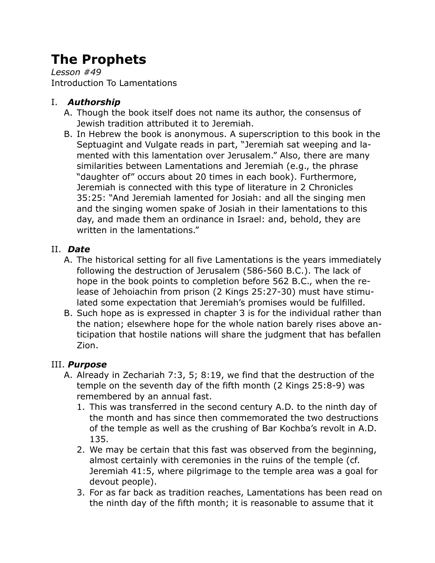# **The Prophets**

*Lesson #49* Introduction To Lamentations

# I. *Authorship*

- A. Though the book itself does not name its author, the consensus of Jewish tradition attributed it to Jeremiah.
- B. In Hebrew the book is anonymous. A superscription to this book in the Septuagint and Vulgate reads in part, "Jeremiah sat weeping and lamented with this lamentation over Jerusalem." Also, there are many similarities between Lamentations and Jeremiah (e.g., the phrase "daughter of" occurs about 20 times in each book). Furthermore, Jeremiah is connected with this type of literature in 2 Chronicles 35:25: "And Jeremiah lamented for Josiah: and all the singing men and the singing women spake of Josiah in their lamentations to this day, and made them an ordinance in Israel: and, behold, they are written in the lamentations."

# II. *Date*

- A. The historical setting for all five Lamentations is the years immediately following the destruction of Jerusalem (586-560 B.C.). The lack of hope in the book points to completion before 562 B.C., when the release of Jehoiachin from prison (2 Kings 25:27-30) must have stimulated some expectation that Jeremiah's promises would be fulfilled.
- B. Such hope as is expressed in chapter 3 is for the individual rather than the nation; elsewhere hope for the whole nation barely rises above anticipation that hostile nations will share the judgment that has befallen Zion.

### III. *Purpose*

- A. Already in Zechariah 7:3, 5; 8:19, we find that the destruction of the temple on the seventh day of the fifth month (2 Kings 25:8-9) was remembered by an annual fast.
	- 1. This was transferred in the second century A.D. to the ninth day of the month and has since then commemorated the two destructions of the temple as well as the crushing of Bar Kochba's revolt in A.D. 135.
	- 2. We may be certain that this fast was observed from the beginning, almost certainly with ceremonies in the ruins of the temple (cf. Jeremiah 41:5, where pilgrimage to the temple area was a goal for devout people).
	- 3. For as far back as tradition reaches, Lamentations has been read on the ninth day of the fifth month; it is reasonable to assume that it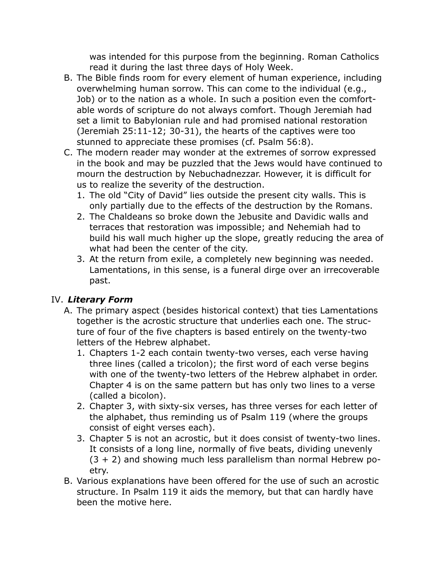was intended for this purpose from the beginning. Roman Catholics read it during the last three days of Holy Week.

- B. The Bible finds room for every element of human experience, including overwhelming human sorrow. This can come to the individual (e.g., Job) or to the nation as a whole. In such a position even the comfortable words of scripture do not always comfort. Though Jeremiah had set a limit to Babylonian rule and had promised national restoration (Jeremiah 25:11-12; 30-31), the hearts of the captives were too stunned to appreciate these promises (cf. Psalm 56:8).
- C. The modern reader may wonder at the extremes of sorrow expressed in the book and may be puzzled that the Jews would have continued to mourn the destruction by Nebuchadnezzar. However, it is difficult for us to realize the severity of the destruction.
	- 1. The old "City of David" lies outside the present city walls. This is only partially due to the effects of the destruction by the Romans.
	- 2. The Chaldeans so broke down the Jebusite and Davidic walls and terraces that restoration was impossible; and Nehemiah had to build his wall much higher up the slope, greatly reducing the area of what had been the center of the city.
	- 3. At the return from exile, a completely new beginning was needed. Lamentations, in this sense, is a funeral dirge over an irrecoverable past.

### IV. *Literary Form*

- A. The primary aspect (besides historical context) that ties Lamentations together is the acrostic structure that underlies each one. The structure of four of the five chapters is based entirely on the twenty-two letters of the Hebrew alphabet.
	- 1. Chapters 1-2 each contain twenty-two verses, each verse having three lines (called a tricolon); the first word of each verse begins with one of the twenty-two letters of the Hebrew alphabet in order. Chapter 4 is on the same pattern but has only two lines to a verse (called a bicolon).
	- 2. Chapter 3, with sixty-six verses, has three verses for each letter of the alphabet, thus reminding us of Psalm 119 (where the groups consist of eight verses each).
	- 3. Chapter 5 is not an acrostic, but it does consist of twenty-two lines. It consists of a long line, normally of five beats, dividing unevenly  $(3 + 2)$  and showing much less parallelism than normal Hebrew poetry.
- B. Various explanations have been offered for the use of such an acrostic structure. In Psalm 119 it aids the memory, but that can hardly have been the motive here.